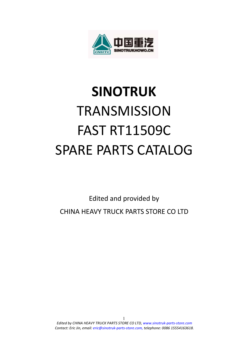

# **SINOTRUK TRANSMISSION** FAST RT11509C SPARE PARTS CATALOG

Edited and provided by CHINA HEAVY TRUCK PARTS STORE CO LTD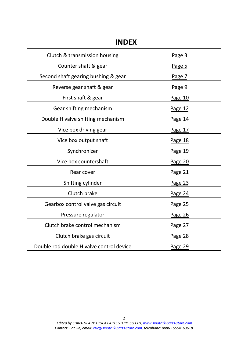# **INDEX**

| Clutch & transmission housing            | Page 3  |
|------------------------------------------|---------|
| Counter shaft & gear                     | Page 5  |
| Second shaft gearing bushing & gear      | Page 7  |
| Reverse gear shaft & gear                | Page 9  |
| First shaft & gear                       | Page 10 |
| Gear shifting mechanism                  | Page 12 |
| Double H valve shifting mechanism        | Page 14 |
| Vice box driving gear                    | Page 17 |
| Vice box output shaft                    | Page 18 |
| Synchronizer                             | Page 19 |
| Vice box countershaft                    | Page 20 |
| Rear cover                               | Page 21 |
| Shifting cylinder                        | Page 23 |
| Clutch brake                             | Page 24 |
| Gearbox control valve gas circuit        | Page 25 |
| Pressure regulator                       | Page 26 |
| Clutch brake control mechanism           | Page 27 |
| Clutch brake gas circuit                 | Page 28 |
| Double rod double H valve control device | Page 29 |
|                                          |         |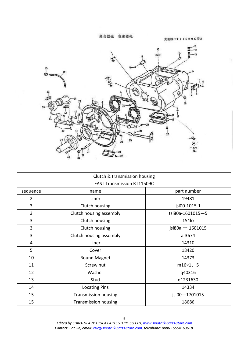离合器壳 变速器壳

变速器RT11509C图2

<span id="page-2-0"></span>

|                | Clutch & transmission housing     |                     |
|----------------|-----------------------------------|---------------------|
|                | <b>FAST Transmission RT11509C</b> |                     |
| sequence       | name                              | part number         |
| $\overline{2}$ | Liner                             | 19481               |
| 3              | Clutch housing                    | jsl00-1015-1        |
| 3              | Clutch housing assembly           | tsl80a-1601015-5    |
| 3              | Clutch housing                    | 154lo               |
| 3              | Clutch housing                    | jsl $80a - 1601015$ |
| 3              | Clutch housing assembly           | $a - 3674$          |
| 4              | Liner                             | 14310               |
| 5              | Cover                             | 18420               |
| 10             | Round Magnet                      | 14373               |
| 11             | Screw nut                         | $m16\times1.5$      |
| 12             | Washer                            | q40316              |
| 13             | Stud                              | q1231630            |
| 14             | <b>Locating Pins</b>              | 14334               |
| 15             | <b>Transmission housing</b>       | jsl00-1701015       |
| 15             | <b>Transmission housing</b>       | 18686               |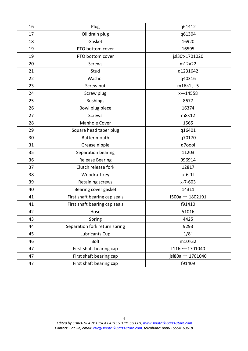| 16 | Plug                          | q61412              |
|----|-------------------------------|---------------------|
| 17 | Oil drain plug                | q61304              |
| 18 | Gasket                        | 16920               |
| 19 | PTO bottom cover              | 16595               |
| 19 | PTO bottom cover              | jsl30t-1701020      |
| 20 | <b>Screws</b>                 | m12×22              |
| 21 | Stud                          | q1231642            |
| 22 | Washer                        | q40316              |
| 23 | Screw nut                     | m16×1. 5            |
| 24 | Screw plug                    | $x - 14558$         |
| 25 | <b>Bushings</b>               | 8677                |
| 26 | Bowl plug piece               | 16374               |
| 27 | <b>Screws</b>                 | m8×12               |
| 28 | Manhole Cover                 | 1565                |
| 29 | Square head taper plug        | q16401              |
| 30 | <b>Butter mouth</b>           | q70170              |
| 31 | Grease nipple                 | q7oool              |
| 35 | Separation bearing            | 11203               |
| 36 | <b>Release Bearing</b>        | 996914              |
| 37 | Clutch release fork           | 12817               |
| 38 | Woodruff key                  | $x-6-11$            |
| 39 | Retaining screws              | x-7-603             |
| 40 | Bearing cover gasket          | 14311               |
| 41 | First shaft bearing cap seals | $f500a - 1802191$   |
| 41 | First shaft bearing cap seals | f91410              |
| 42 | Hose                          | 51016               |
| 43 | Spring                        | 4425                |
| 44 | Separation fork return spring | 9293                |
| 45 | Lubricants Cup                | 1/8''               |
| 46 | <b>Bolt</b>                   | m10×32              |
| 47 | First shaft bearing cap       | t116e-1701040       |
| 47 | First shaft bearing cap       | jsl $80a - 1701040$ |
| 47 | First shaft bearing cap       | f91409              |
|    |                               |                     |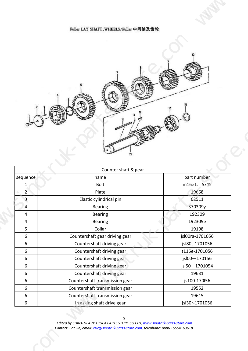<span id="page-4-0"></span>

| Fuller LAY SHAFT, WHEELS/Fuller 中间轴及齿轮<br>63<br>Counter shaft & gear<br>part number<br>$ $ sequence<br>name<br>m16×1. 5x45<br>Bolt<br>$\overline{1}$<br>19668<br>$\overline{2}$<br>Plate<br>Elastic cylindrical pin<br>62511<br>$\overline{\mathbf{3}}$<br>370309y<br>Bearing<br>/4<br>Bearing<br>192309<br>$\overline{4}$<br>192309e<br>Bearing<br>$\overline{4}$<br>Collar<br>19198<br>$5\overline{)}$<br>Countershaft gear driving gear<br>jsl00ra-1701056<br>6<br>Countershaft driving gear<br>jsl80t-1701056<br>6<br>Countershaft driving gear<br>t116e-1701056<br>6<br>Countershaft driving gear<br>jsl00-170156<br>6<br>Countershaft driving gear<br>jsl50-1701054<br>6 | Countershaft driving gear<br>19631<br>$\mathbf b$<br>Countershaft transmission gear<br>js100-170l56<br>-6<br>Countershaft transmission gear<br>19552 |  |  |  |  |  |  |  |  |  |  |
|--------------------------------------------------------------------------------------------------------------------------------------------------------------------------------------------------------------------------------------------------------------------------------------------------------------------------------------------------------------------------------------------------------------------------------------------------------------------------------------------------------------------------------------------------------------------------------------------------------------------------------------------------------------------------------|------------------------------------------------------------------------------------------------------------------------------------------------------|--|--|--|--|--|--|--|--|--|--|
|                                                                                                                                                                                                                                                                                                                                                                                                                                                                                                                                                                                                                                                                                |                                                                                                                                                      |  |  |  |  |  |  |  |  |  |  |
|                                                                                                                                                                                                                                                                                                                                                                                                                                                                                                                                                                                                                                                                                |                                                                                                                                                      |  |  |  |  |  |  |  |  |  |  |
|                                                                                                                                                                                                                                                                                                                                                                                                                                                                                                                                                                                                                                                                                |                                                                                                                                                      |  |  |  |  |  |  |  |  |  |  |
|                                                                                                                                                                                                                                                                                                                                                                                                                                                                                                                                                                                                                                                                                |                                                                                                                                                      |  |  |  |  |  |  |  |  |  |  |
|                                                                                                                                                                                                                                                                                                                                                                                                                                                                                                                                                                                                                                                                                |                                                                                                                                                      |  |  |  |  |  |  |  |  |  |  |
|                                                                                                                                                                                                                                                                                                                                                                                                                                                                                                                                                                                                                                                                                |                                                                                                                                                      |  |  |  |  |  |  |  |  |  |  |
|                                                                                                                                                                                                                                                                                                                                                                                                                                                                                                                                                                                                                                                                                |                                                                                                                                                      |  |  |  |  |  |  |  |  |  |  |
|                                                                                                                                                                                                                                                                                                                                                                                                                                                                                                                                                                                                                                                                                |                                                                                                                                                      |  |  |  |  |  |  |  |  |  |  |
|                                                                                                                                                                                                                                                                                                                                                                                                                                                                                                                                                                                                                                                                                |                                                                                                                                                      |  |  |  |  |  |  |  |  |  |  |
|                                                                                                                                                                                                                                                                                                                                                                                                                                                                                                                                                                                                                                                                                |                                                                                                                                                      |  |  |  |  |  |  |  |  |  |  |
|                                                                                                                                                                                                                                                                                                                                                                                                                                                                                                                                                                                                                                                                                |                                                                                                                                                      |  |  |  |  |  |  |  |  |  |  |
|                                                                                                                                                                                                                                                                                                                                                                                                                                                                                                                                                                                                                                                                                |                                                                                                                                                      |  |  |  |  |  |  |  |  |  |  |
|                                                                                                                                                                                                                                                                                                                                                                                                                                                                                                                                                                                                                                                                                |                                                                                                                                                      |  |  |  |  |  |  |  |  |  |  |
|                                                                                                                                                                                                                                                                                                                                                                                                                                                                                                                                                                                                                                                                                |                                                                                                                                                      |  |  |  |  |  |  |  |  |  |  |
|                                                                                                                                                                                                                                                                                                                                                                                                                                                                                                                                                                                                                                                                                |                                                                                                                                                      |  |  |  |  |  |  |  |  |  |  |
| Countershaft transmission gear<br>19615<br>-6<br>In asking shaft drive gear<br>jsl30r-1701056                                                                                                                                                                                                                                                                                                                                                                                                                                                                                                                                                                                  |                                                                                                                                                      |  |  |  |  |  |  |  |  |  |  |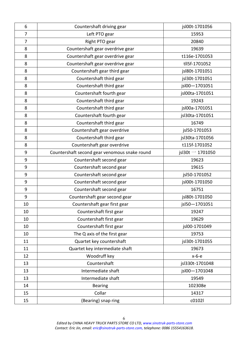| 6              | Countershaft driving gear                     | jsl00t-1701056     |
|----------------|-----------------------------------------------|--------------------|
| $\overline{7}$ | Left PTO gear                                 | 15953              |
| $\overline{7}$ | Right PTO gear                                | 20840              |
| 8              | Countershaft gear overdrive gear              | 19639              |
| 8              | Countershaft gear overdrive gear              | t116e-1701053      |
| 8              | Countershaft gear overdrive gear              | tll5f-1701052      |
| 8              | Countershaft gear third gear                  | jsl80t-1701051     |
| 8              | Countershaft third gear                       | jsl30t-1701051     |
| 8              | Countershaft third gear                       | jsl00-1701051      |
| 8              | Countershaft fourth gear                      | jsl00ta-1701051    |
| 8              | Countershaft third gear                       | 19243              |
| 8              | Countershaft third gear                       | jsl00a-1701051     |
| 8              | Countershaft fourth gear                      | jsl30ta-1701051    |
| 8              | Countershaft third gear                       | 16749              |
| 8              | Countershaft gear overdrive                   | jsl50-1701053      |
| 8              | Countershaft third gear                       | jsl30ta-1701056    |
| 8              | Countershaft gear overdrive                   | t115f-1701052      |
| 9              | Countershaft second gear venomous snake round | $jsl30t - 1701050$ |
| 9              | Countershaft second gear                      | 19623              |
| 9              | Countershaft second gear                      | 19615              |
| 9              | Countershaft second gear                      | jsl50-1701052      |
| 9              | Countershaft second gear                      | jsl00t-1701050     |
| 9              | Countershaft second gear                      | 16751              |
| 9              | Countershaft gear second gear                 | jsl80t-1701050     |
| 10             | Countershaft gear first gear                  | jsl50-1701051      |
| 10             | Countershaft first gear                       | 19247              |
| 10             | Countershaft first gear                       | 19629              |
| 10             | Countershaft first gear                       | jsl00-1701049      |
| 10             | The Q axis of the first gear                  | 19753              |
| 11             | Quartet key countershaft                      | jsl30t-1701055     |
| 11             | Quartet key intermediate shaft                | 19673              |
| 12             | Woodruff key                                  | х-6-е              |
| 13             | Countershaft                                  | jsl330t-1701048    |
| 13             | Intermediate shaft                            | jsl00-1701048      |
| 13             | Intermediate shaft                            | 19549              |
| 14             | <b>Bearing</b>                                | 102308e            |
| 15             | Collar                                        | 14317              |
| 15             | (Bearing) snap ring                           | c0102l             |
|                |                                               |                    |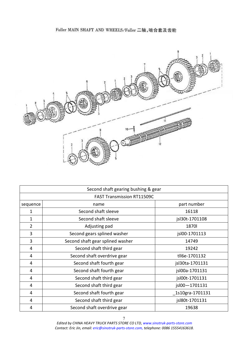# Fuller MAIN SHAFT AND WHEELS/Fuller 二轴,啮合套及齿轮

<span id="page-6-0"></span>

|                | Second shaft gearing bushing & gear |                  |
|----------------|-------------------------------------|------------------|
|                | <b>FAST Transmission RT11509C</b>   |                  |
| sequence       | name                                | part number      |
| 1              | Second shaft sleeve                 | 16118            |
| 1              | Second shaft sleeve                 | jsl30t-1701108   |
| $\overline{2}$ | Adjusting pad                       | 1870             |
| 3              | Second gears splined washer         | jsl00-1701113    |
| 3              | Second shaft gear splined washer    | 14749            |
| 4              | Second shaft third gear             | 19242            |
| 4              | Second shaft overdrive gear         | tll6e-1701132    |
| 4              | Second shaft fourth gear            | jsl30ta-1701131  |
| 4              | Second shaft fourth gear            | jsl00a-1701131   |
| 4              | Second shaft third gear             | jsl00t-1701131   |
| 4              | Second shaft third gear             | jsl00-1701131    |
| 4              | Second shaft fourth gear            | _1s10gra-1701131 |
| 4              | Second shaft third gear             | jsl80t-1701131   |
| 4              | Second shaft overdrive gear         | 19638            |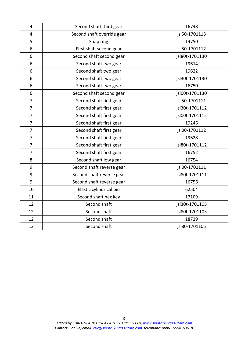| $\overline{4}$ | Second shaft third gear    | 16748          |
|----------------|----------------------------|----------------|
| $\overline{4}$ | Second shaft override gear | jsl50-1701113  |
| 5              | Snap ring                  | 14750          |
| 6              | First shaft second gear    | jsl50-1701112  |
| 6              | Second shaft second gear   | jsl80t-1701130 |
| 6              | Second shaft two gear      | 19614          |
| 6              | Second shaft two gear      | 19622          |
| 6              | Second shaft two gear      | jsl30t-1701130 |
| 6              | Second shaft two gear      | 16750          |
| 6              | Second shaft second gear   | jsl00t-1701130 |
| $\overline{7}$ | Second shaft first gear    | jsl50-1701111  |
| $\overline{7}$ | Second shaft first gear    | jsl30t-1701112 |
| $\overline{7}$ | Second shaft first gear    | jsl00t-1701112 |
| $\overline{7}$ | Second shaft first gear    | 19246          |
| $\overline{7}$ | Second shaft first gear    | jsl00-1701112  |
| $\overline{7}$ | Second shaft first gear    | 19628          |
| $\overline{7}$ | Second shaft first gear    | jsl80t-1701112 |
| $\overline{7}$ | Second shaft first gear    | 16752          |
| 8              | Second shaft low gear      | 16754          |
| 9              | Second shaft reverse gear  | jsl00-1701111  |
| 9              | Second shaft reverse gear  | jsl80t-1701111 |
| 9              | Second shaft reverse gear  | 16756          |
| 10             | Elastic cylindrical pin    | 62504          |
| 11             | Second shaft hex key       | 17109          |
| 12             | Second shaft               | jsl30t-1701105 |
| 12             | Second shaft               | jsl80t-1701105 |
| 12             | Second shaft               | 18729          |
| 12             | Second shaft               | jsl80-1701105  |
|                |                            |                |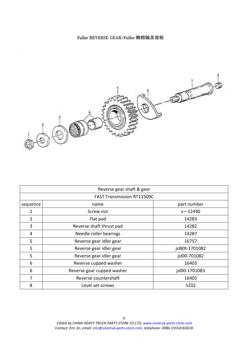## Fuller REVERSE GEAR/Fuller 倒档轴及齿轮

<span id="page-8-0"></span>

|          | Reverse gear shaft & gear         |                |
|----------|-----------------------------------|----------------|
|          | <b>FAST Transmission RT11509C</b> |                |
| sequence | name                              | part number    |
| 1        | Screw nut                         | $x - 12440$    |
| 2        | Flat pad                          | 14283          |
| 3        | Reverse shaft thrust pad          | 14282          |
| 4        | Needle roller bearings            | 14287          |
| 5        | Reverse gear idler gear           | 16757          |
| 5        | Reverse gear idler gear           | jsl80t-1701082 |
| 5        | Reverse gear idler gear           | jsl00-701082   |
| 6        | Reverse cupped washer             | 16403          |
| 6        | Reverse gear cupped washer        | jsl00-1701083  |
| 7        | Reverse countershaft              | 16405          |
| 8        | Level set screws                  | 5202           |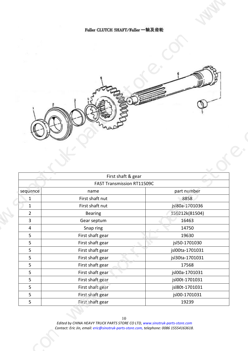<span id="page-9-0"></span>

| Fuller CLUTCH SHAFT/Fuller 一轴及齿轮<br>First shaft & gear<br>FAST Transmission RT11509C<br>$ $ sequence $ $<br>part number<br>name<br>First shaft nut<br>8858<br>jsl80a-1701036<br>First shaft nut<br>$\mathbf{1}$<br>150212k(81504)<br>Bearing<br>$\overline{2}$<br>Gear septum<br>16463<br>$\overline{\mathbf{3}}$<br>14750<br>Snap ring<br>$\boldsymbol{\varDelta}$<br>First shaft gear<br>19630<br>5 <sub>1</sub><br>jsl50-1701030<br>First shaft gear<br>5 <sub>1</sub><br>First shaft gear<br>jsl00ta-1701031<br>5 <sub>1</sub><br>First shaft gear<br>jsl30ta-1701031<br>5 <sup>5</sup><br>First shaft gear<br>17568<br>5 <sup>5</sup><br>jsl00a-1701031<br>First shaft gear<br>5 <sub>1</sub><br>First shaft gear<br>jsl00t-1701031<br>$5\overline{)}$<br>First shaft gear<br>jsl80t-1701031<br>5 <sub>5</sub><br>First shaft gear<br>jsl00-1701031<br>5 <sub>5</sub> |  |
|----------------------------------------------------------------------------------------------------------------------------------------------------------------------------------------------------------------------------------------------------------------------------------------------------------------------------------------------------------------------------------------------------------------------------------------------------------------------------------------------------------------------------------------------------------------------------------------------------------------------------------------------------------------------------------------------------------------------------------------------------------------------------------------------------------------------------------------------------------------------------|--|
|                                                                                                                                                                                                                                                                                                                                                                                                                                                                                                                                                                                                                                                                                                                                                                                                                                                                            |  |
|                                                                                                                                                                                                                                                                                                                                                                                                                                                                                                                                                                                                                                                                                                                                                                                                                                                                            |  |
|                                                                                                                                                                                                                                                                                                                                                                                                                                                                                                                                                                                                                                                                                                                                                                                                                                                                            |  |
|                                                                                                                                                                                                                                                                                                                                                                                                                                                                                                                                                                                                                                                                                                                                                                                                                                                                            |  |
|                                                                                                                                                                                                                                                                                                                                                                                                                                                                                                                                                                                                                                                                                                                                                                                                                                                                            |  |
|                                                                                                                                                                                                                                                                                                                                                                                                                                                                                                                                                                                                                                                                                                                                                                                                                                                                            |  |
|                                                                                                                                                                                                                                                                                                                                                                                                                                                                                                                                                                                                                                                                                                                                                                                                                                                                            |  |
|                                                                                                                                                                                                                                                                                                                                                                                                                                                                                                                                                                                                                                                                                                                                                                                                                                                                            |  |
|                                                                                                                                                                                                                                                                                                                                                                                                                                                                                                                                                                                                                                                                                                                                                                                                                                                                            |  |
|                                                                                                                                                                                                                                                                                                                                                                                                                                                                                                                                                                                                                                                                                                                                                                                                                                                                            |  |
|                                                                                                                                                                                                                                                                                                                                                                                                                                                                                                                                                                                                                                                                                                                                                                                                                                                                            |  |
|                                                                                                                                                                                                                                                                                                                                                                                                                                                                                                                                                                                                                                                                                                                                                                                                                                                                            |  |
|                                                                                                                                                                                                                                                                                                                                                                                                                                                                                                                                                                                                                                                                                                                                                                                                                                                                            |  |
|                                                                                                                                                                                                                                                                                                                                                                                                                                                                                                                                                                                                                                                                                                                                                                                                                                                                            |  |
|                                                                                                                                                                                                                                                                                                                                                                                                                                                                                                                                                                                                                                                                                                                                                                                                                                                                            |  |
|                                                                                                                                                                                                                                                                                                                                                                                                                                                                                                                                                                                                                                                                                                                                                                                                                                                                            |  |
|                                                                                                                                                                                                                                                                                                                                                                                                                                                                                                                                                                                                                                                                                                                                                                                                                                                                            |  |
|                                                                                                                                                                                                                                                                                                                                                                                                                                                                                                                                                                                                                                                                                                                                                                                                                                                                            |  |
|                                                                                                                                                                                                                                                                                                                                                                                                                                                                                                                                                                                                                                                                                                                                                                                                                                                                            |  |
|                                                                                                                                                                                                                                                                                                                                                                                                                                                                                                                                                                                                                                                                                                                                                                                                                                                                            |  |
|                                                                                                                                                                                                                                                                                                                                                                                                                                                                                                                                                                                                                                                                                                                                                                                                                                                                            |  |
|                                                                                                                                                                                                                                                                                                                                                                                                                                                                                                                                                                                                                                                                                                                                                                                                                                                                            |  |
|                                                                                                                                                                                                                                                                                                                                                                                                                                                                                                                                                                                                                                                                                                                                                                                                                                                                            |  |
|                                                                                                                                                                                                                                                                                                                                                                                                                                                                                                                                                                                                                                                                                                                                                                                                                                                                            |  |
|                                                                                                                                                                                                                                                                                                                                                                                                                                                                                                                                                                                                                                                                                                                                                                                                                                                                            |  |
|                                                                                                                                                                                                                                                                                                                                                                                                                                                                                                                                                                                                                                                                                                                                                                                                                                                                            |  |
| First shaft gear<br>19239<br>5 <sub>1</sub>                                                                                                                                                                                                                                                                                                                                                                                                                                                                                                                                                                                                                                                                                                                                                                                                                                |  |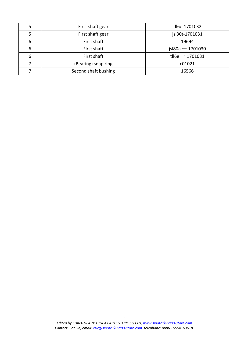|   | First shaft gear     | tll6e-1701032       |
|---|----------------------|---------------------|
|   | First shaft gear     | jsl30t-1701031      |
| b | First shaft          | 19694               |
| b | First shaft          | jsl $80a - 1701030$ |
|   | First shaft          | tll6e $-$ 1701031   |
|   | (Bearing) snap ring  | c01021              |
|   | Second shaft bushing | 16566               |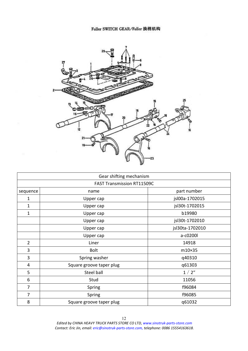<span id="page-11-0"></span>

|                | Gear shifting mechanism           |                 |
|----------------|-----------------------------------|-----------------|
|                | <b>FAST Transmission RT11509C</b> |                 |
| sequence       | name                              | part number     |
| 1              | Upper cap                         | jsl00a-1702015  |
| $\mathbf 1$    | Upper cap                         | jsl30t-1702015  |
| 1              | Upper cap                         | b19980          |
|                | Upper cap                         | jsl30t-1702010  |
|                | Upper cap                         | jsl30ta-1702010 |
|                | Upper cap                         | a-c0200l        |
| $\overline{2}$ | Liner                             | 14918           |
| 3              | <b>Bolt</b>                       | m10×35          |
| 3              | Spring washer                     | q40310          |
| $\overline{4}$ | Square groove taper plug          | q61303          |
| 5              | Steel ball                        | 1/2"            |
| 6              | Stud                              | 11056           |
| $\overline{7}$ | Spring                            | f96084          |
| $\overline{7}$ | Spring                            | f96085          |
| 8              | Square groove taper plug          | q61032          |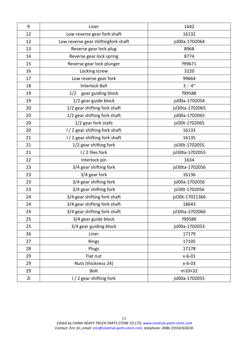| $9\,$ | Liner                               | 1642            |
|-------|-------------------------------------|-----------------|
| 12    | Low reverse gear fork shaft         | 16132           |
| 12    | Low reverse gear shiftingfork shaft | jsl00a-1702064  |
| 13    | Reverse gear lock plug              | 8968            |
| 14    | Reverse gear lock spring            | 8774            |
| 15    | Reverse gear lock plunger           | f99671          |
| 16    | Locking screw                       | 3220            |
| 17    | Low reverse gear fork               | 99664           |
| 18    | <b>Interlock Ball</b>               | 3/4"            |
| 19    | gear guiding block<br>1/2           | f99588          |
| 19    | 1/2 gear guide block                | jsl00a-1702054  |
| 20    | 1/2 gear shifting fork shaft        | jsl30ta-1702065 |
| 20    | 1/2 gear shifting fork shaft        | jsl00a-1702065  |
| 20    | 1/2 gear fork stalls                | jsl30t-1702065  |
| 20    | I/2 gear shifting fork shaft        | 16133           |
| 21    | I/2 gear shifting fork shaft        | 16135           |
| 21    | 1/2 gear shifting fork              | jsl30t-1702055  |
| 21    | I/2 files fork                      | jsl30ta-1702055 |
| 22    | Interlock pin                       | 1634            |
| 23    | 3/4 gear shifting fork              | jsl30ta-1702056 |
| 23    | 3/4 gear fork                       | 16136           |
| 23    | 3/4 gear shifting fork              | jsl00a-1702056  |
| 23    | 3/4 gear shifting fork              | jsl30t-1702056  |
| 24    | 3/4 gear shifting fork shaft        | jsl30t-17021366 |
| 24    | 3/4 gear shifting fork shaft        | 18643           |
| 24    | 3/4 gear shifting fork shaft        | jsl30ta-1702066 |
| 25    | 3/4 gear guide block                | f99589          |
| 25    | 3/4 gear guiding block              | jsl00a-1702053  |
| 26    | Liner                               | 17179           |
| 27    | Rings                               | 17105           |
| 28    | Plugs                               | 17178           |
| 29    | Flat nut                            | $x-6-01$        |
| 29    | Nuts (thickness 24)                 | $x-6-03$        |
| 29    | <b>Bolt</b>                         | m10×32          |
| 21    | I/2 gear shifting fork              | jsl00a-1702055  |
|       |                                     |                 |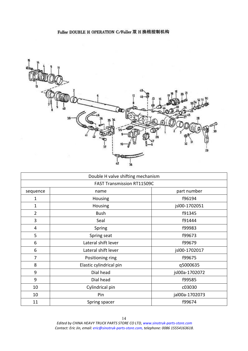<span id="page-13-0"></span>

|                | Double H valve shifting mechanism |                |
|----------------|-----------------------------------|----------------|
|                | <b>FAST Transmission RT11509C</b> |                |
| sequence       | name                              | part number    |
| $\mathbf{1}$   | Housing                           | f96194         |
| $\mathbf{1}$   | Housing                           | jsl00-1702051  |
| $\overline{2}$ | <b>Bush</b>                       | f91345         |
| 3              | Seal                              | f91444         |
| $\overline{4}$ | Spring                            | f99983         |
| 5              | Spring seat                       | f99673         |
| 6              | Lateral shift lever               | f99679         |
| 6              | Lateral shift lever               | jsl00-1702017  |
| 7              | Positioning ring                  | f99675         |
| 8              | Elastic cylindrical pin           | q5000635       |
| 9              | Dial head                         | jsl00a-1702072 |
| 9              | Dial head                         | f99585         |
| 10             | Cylindrical pin                   | c03030         |
| 10             | Pin                               | jal00a-1702073 |
| 11             | Spring spacer                     | f99674         |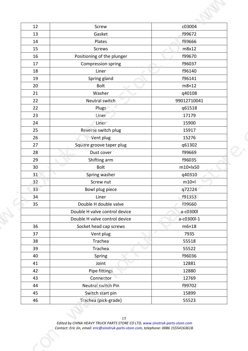| 12<br>13<br>14<br>15<br>16<br>17<br>18<br>19<br>20<br>21<br>22<br>22<br>23 | Screw<br>Gasket<br>Plates<br>Screws<br>Positioning of the plunger<br>Compression spring<br>Liner<br>Spring gland<br>Bolt |                                   | c03004<br>f99672<br>f99666<br>m8x12<br>f99670<br>f96037                                                                                                                                                                                                                     |                                                                                                                                                                |
|----------------------------------------------------------------------------|--------------------------------------------------------------------------------------------------------------------------|-----------------------------------|-----------------------------------------------------------------------------------------------------------------------------------------------------------------------------------------------------------------------------------------------------------------------------|----------------------------------------------------------------------------------------------------------------------------------------------------------------|
|                                                                            |                                                                                                                          |                                   |                                                                                                                                                                                                                                                                             |                                                                                                                                                                |
|                                                                            |                                                                                                                          |                                   |                                                                                                                                                                                                                                                                             |                                                                                                                                                                |
|                                                                            |                                                                                                                          |                                   |                                                                                                                                                                                                                                                                             |                                                                                                                                                                |
|                                                                            |                                                                                                                          |                                   |                                                                                                                                                                                                                                                                             |                                                                                                                                                                |
|                                                                            |                                                                                                                          |                                   | f96140                                                                                                                                                                                                                                                                      |                                                                                                                                                                |
|                                                                            |                                                                                                                          |                                   | f96141                                                                                                                                                                                                                                                                      |                                                                                                                                                                |
|                                                                            |                                                                                                                          |                                   | m8×12                                                                                                                                                                                                                                                                       |                                                                                                                                                                |
|                                                                            | Washer<br>Neutral switch                                                                                                 |                                   | q40108<br>99012710041                                                                                                                                                                                                                                                       |                                                                                                                                                                |
|                                                                            | Plugs                                                                                                                    |                                   | q61518                                                                                                                                                                                                                                                                      |                                                                                                                                                                |
|                                                                            | Liner                                                                                                                    |                                   | 17179                                                                                                                                                                                                                                                                       |                                                                                                                                                                |
| 24<br>25                                                                   | Liner                                                                                                                    |                                   | 15900<br>15917                                                                                                                                                                                                                                                              |                                                                                                                                                                |
| 26                                                                         | Reverse switch plug<br>Vent plug                                                                                         |                                   | 15276                                                                                                                                                                                                                                                                       |                                                                                                                                                                |
| 27                                                                         | Square groove taper plug                                                                                                 |                                   | q61302                                                                                                                                                                                                                                                                      |                                                                                                                                                                |
| 28                                                                         | Dust cover                                                                                                               |                                   | f99669                                                                                                                                                                                                                                                                      |                                                                                                                                                                |
| 30                                                                         | Bolt                                                                                                                     |                                   | $m10\times k50$                                                                                                                                                                                                                                                             |                                                                                                                                                                |
| 31                                                                         |                                                                                                                          |                                   | q40310                                                                                                                                                                                                                                                                      |                                                                                                                                                                |
| 32                                                                         | Screw nut                                                                                                                |                                   | $m10$ <sub>x</sub>                                                                                                                                                                                                                                                          |                                                                                                                                                                |
|                                                                            |                                                                                                                          |                                   |                                                                                                                                                                                                                                                                             |                                                                                                                                                                |
| 35                                                                         |                                                                                                                          |                                   | f99660                                                                                                                                                                                                                                                                      |                                                                                                                                                                |
|                                                                            |                                                                                                                          |                                   | a-c0300l                                                                                                                                                                                                                                                                    |                                                                                                                                                                |
|                                                                            |                                                                                                                          |                                   |                                                                                                                                                                                                                                                                             |                                                                                                                                                                |
| 37                                                                         | Vent plug                                                                                                                |                                   | 7935                                                                                                                                                                                                                                                                        |                                                                                                                                                                |
| 38                                                                         | Trachea                                                                                                                  |                                   | 55518                                                                                                                                                                                                                                                                       |                                                                                                                                                                |
| 39                                                                         | Trachea                                                                                                                  |                                   | 55522                                                                                                                                                                                                                                                                       |                                                                                                                                                                |
| 41                                                                         | Joint                                                                                                                    |                                   | 12881                                                                                                                                                                                                                                                                       |                                                                                                                                                                |
| 42                                                                         |                                                                                                                          |                                   | 12880                                                                                                                                                                                                                                                                       |                                                                                                                                                                |
| 43                                                                         |                                                                                                                          |                                   | 12769                                                                                                                                                                                                                                                                       |                                                                                                                                                                |
| 45                                                                         |                                                                                                                          |                                   | 15899                                                                                                                                                                                                                                                                       |                                                                                                                                                                |
| 46                                                                         |                                                                                                                          |                                   | 55523                                                                                                                                                                                                                                                                       |                                                                                                                                                                |
|                                                                            | 29<br>40<br>44                                                                                                           | 33<br>34<br>Liner<br>36<br>Spring | Shifting arm<br>Spring washer<br>Bowl plug piece<br>Double H double valve<br>Double H valve control device<br>Double H valve control device<br>Socket head cap screws<br>Pipe fittings<br>Connector<br>Neutral switch Pin<br>Switch start pin<br>Trachea (pick-grade)<br>15 | f96035<br>q72224<br>f91353<br>$a-c0300l-1$<br>$m6\times18$<br>f96036<br>f99702<br>Edited by CHINA HEAVY TRUCK PARTS STORE CO LTD, www.sinotruk-parts-store.com |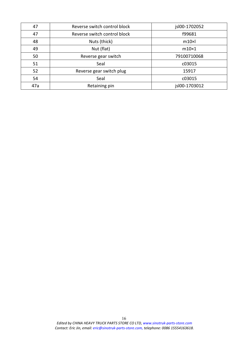| 47  | Reverse switch control block | jsl00-1702052 |  |
|-----|------------------------------|---------------|--|
| 47  | Reverse switch control block | f99681        |  |
| 48  | Nuts (thick)                 | $m10$ × $l$   |  |
| 49  | Nut (flat)                   | $m10\times1$  |  |
| 50  | Reverse gear switch          | 79100710068   |  |
| 51  | Seal                         | c03015        |  |
| 52  | Reverse gear switch plug     | 15917         |  |
| 54  | Seal                         | c03015        |  |
| 47a | Retaining pin                | jsl00-1703012 |  |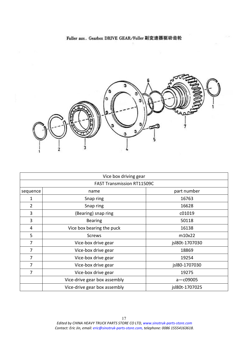<span id="page-16-0"></span>

|                                   | Vice box driving gear        |                |  |  |
|-----------------------------------|------------------------------|----------------|--|--|
| <b>FAST Transmission RT11509C</b> |                              |                |  |  |
| sequence                          | name                         | part number    |  |  |
| 1                                 | Snap ring                    | 16763          |  |  |
| 2                                 | Snap ring                    | 16628          |  |  |
| 3                                 | (Bearing) snap ring          | c01019         |  |  |
| 3                                 | <b>Bearing</b>               | 50118          |  |  |
| 4                                 | Vice box bearing the puck    | 16138          |  |  |
| 5                                 | <b>Screws</b>                | m10x22         |  |  |
| 7                                 | Vice-box drive gear          | jsl80t-1707030 |  |  |
| 7                                 | Vice-box drive gear          | 18869          |  |  |
| 7                                 | Vice-box drive gear          | 19254          |  |  |
| 7                                 | Vice-box drive gear          | jsl80-1707030  |  |  |
| 7                                 | Vice-box drive gear          | 19275          |  |  |
|                                   | Vice-drive gear box assembly | $a - c09005$   |  |  |
|                                   | Vice-drive gear box assembly | jsl80t-1707025 |  |  |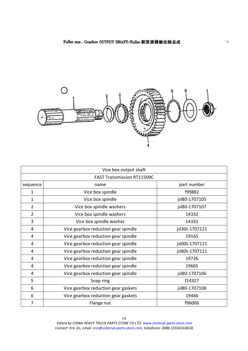$\cdot$ 

<span id="page-17-0"></span>

|                | Vice box output shaft               |                |
|----------------|-------------------------------------|----------------|
|                | <b>FAST Transmission RT11509C</b>   |                |
| sequence       | name                                | part number    |
| 1              | Vice box spindle                    | f99882         |
| 1              | Vice box spindle                    | jsl80-1707105  |
| $\overline{2}$ | Vice box spindle washers            | jsl80-1707107  |
| $\overline{2}$ | Vice box spindle washers            | 14332          |
| 3              | Vice box spindle washer             | 14331          |
| 4              | Vice gearbox reduction gear spindle | jsl30t-1707121 |
| 4              | Vice gearbox reduction gear spindle | 19165          |
| 4              | Vice gearbox reduction gear spindle | jsl00t-1707121 |
| 4              | Vice gearbox reduction gear spindle | jsl80t-1707121 |
| 4              | Vice gearbox reduction gear spindle | 19726          |
| 4              | Vice gearbox reduction gear spindle | 19665          |
| 4              | Vice gearbox reduction gear spindle | jsl80-1707106  |
| 5              | Snap ring                           | f14327         |
| 6              | Vice gearbox reduction gear gaskets | jsl80-1707108  |
| 6              | Vice gearbox reduction gear gaskets | 19466          |
| 7              | Flange nut                          | f96006         |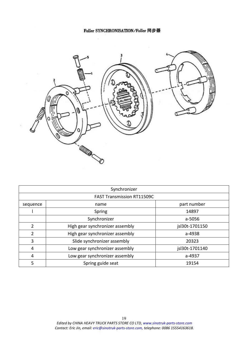<span id="page-18-0"></span>

|          | Synchronizer                      |                |  |  |
|----------|-----------------------------------|----------------|--|--|
|          | <b>FAST Transmission RT11509C</b> |                |  |  |
| sequence | part number<br>name               |                |  |  |
|          | Spring                            | 14897          |  |  |
|          | Synchronizer                      | a-5056         |  |  |
| 2        | High gear synchronizer assembly   | jsl30t-1701150 |  |  |
| 2        | High gear synchronizer assembly   | a-4938         |  |  |
| 3        | Slide synchronizer assembly       | 20323          |  |  |
| 4        | Low gear synchronizer assembly    | jsl30t-1701140 |  |  |
| 4        | Low gear synchronizer assembly    | a-4937         |  |  |
| 5        | Spring guide seat                 | 19154          |  |  |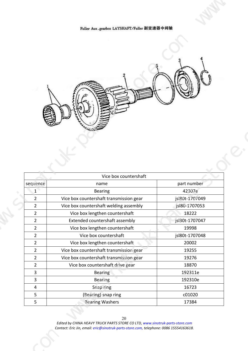<span id="page-19-0"></span>

|                                           | Fuller Aux.gearbox LAYSHAFT/Fuller 副变速器中间轴                                         |                                       |
|-------------------------------------------|------------------------------------------------------------------------------------|---------------------------------------|
|                                           |                                                                                    |                                       |
|                                           |                                                                                    |                                       |
|                                           |                                                                                    | $\mathbf{v}_{\scriptscriptstyle\! L}$ |
| SIE                                       |                                                                                    |                                       |
|                                           |                                                                                    |                                       |
|                                           |                                                                                    |                                       |
|                                           |                                                                                    |                                       |
|                                           |                                                                                    |                                       |
| sequence                                  | Vice box countershaft<br>name                                                      | part number                           |
|                                           | Bearing<br>Vice box countershaft transmission gear                                 | 42307e<br>jsl80t-1707049              |
| $\overline{2}$                            | Vice box countershaft welding assembly                                             | jsl80-1707053                         |
| $\overline{2}$<br>$\overline{2}$          | Vice box lengthen countershaft<br>Extended countershaft assembly                   | 18222<br>jsl30t-1707047               |
| $\overline{2}$<br>$\overline{2}$          | Vice box lengthen countershaft<br>Vice box countershaft                            | 19998<br>jsl80t-1707048               |
| $\overline{2}$                            | Vice box lengthen countershaft                                                     | 20002                                 |
| $\overline{2}$<br>$\overline{2}$          | Vice box countershaft transmission gear<br>Vice box countershaft transmission gear | 19255<br>19276                        |
| $\overline{2}$<br>$\overline{\mathbf{3}}$ | Vice box countershaft drive gear<br><b>Bearing</b>                                 | 18870<br>192311e                      |
| $\overline{3}$                            | <b>Bearing</b>                                                                     | 192310e                               |
| $\overline{4}$<br>$5\overline{)}$         | Snap ring<br>(Bearing) snap ring                                                   | 16723<br>c01020                       |
| 5 <sup>5</sup>                            | <b>Bearing Washers</b>                                                             | 17384                                 |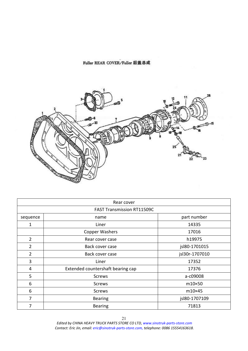# Fuller REAR COVER/Fuller 后盖总成

<span id="page-20-0"></span>

|                | Rear cover                        |                |
|----------------|-----------------------------------|----------------|
|                | <b>FAST Transmission RT11509C</b> |                |
| sequence       | name                              | part number    |
|                | Liner                             | 14335          |
|                | Copper Washers                    | 17016          |
| $\overline{2}$ | Rear cover case                   | h19975         |
| $\overline{2}$ | Back cover case                   | jsl80-1701015  |
| $\overline{2}$ | Back cover case                   | jsl30r-1707010 |
| 3              | Liner                             | 17352          |
| 4              | Extended countershaft bearing cap | 17376          |
| 5              | <b>Screws</b>                     | a-c09008       |
| 6              | Screws                            | $m10\times50$  |
| 6              | <b>Screws</b>                     | m10×45         |
| 7              | <b>Bearing</b>                    | jsl80-1707109  |
| 7              | <b>Bearing</b>                    | 71813          |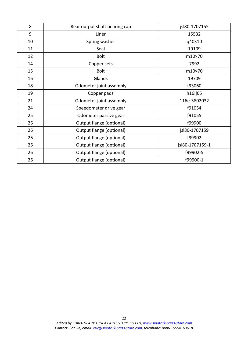| 8     | Rear output shaft bearing cap | jsl80-1707155   |
|-------|-------------------------------|-----------------|
| $9\,$ | Liner                         | 15532           |
| 10    | Spring washer                 | q40310          |
| 11    | Seal                          | 19109           |
| 12    | <b>Bolt</b>                   | m10×70          |
| 14    | Copper sets                   | 7992            |
| 15    | <b>Bolt</b>                   | m10×70          |
| 16    | Glands                        | 19709           |
| 18    | Odometer joint assembly       | f93060          |
| 19    | Copper pads                   | h16i]05         |
| 21    | Odometer joint assembly       | 116e-3802032    |
| 24    | Speedometer drive gear        | f91054          |
| 25    | Odometer passive gear         | f91055          |
| 26    | Output flange (optional)      | f99900          |
| 26    | Output flange (optional)      | jsl80-1707159   |
| 26    | Output flange (optional)      | f99902          |
| 26    | Output flange (optional)      | jsl80-1707159-1 |
| 26    | Output flange (optional)      | f99902-5        |
| 26    | Output flange (optional)      | f99900-1        |
|       |                               |                 |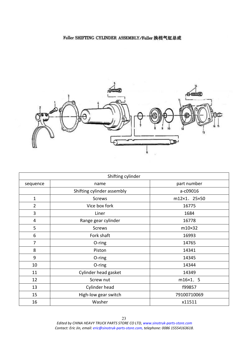# <span id="page-22-0"></span>Fuller SHIFTING CYLINDER ASSEMBLY/Fuller 换档气缸总成



|                | Shifting cylinder          |              |
|----------------|----------------------------|--------------|
| sequence       | name                       | part number  |
|                | Shifting cylinder assembly | a-c09016     |
| $\mathbf{1}$   | <b>Screws</b>              | m12×1. 25×50 |
| $\overline{2}$ | Vice box fork              | 16775        |
| 3              | Liner                      | 1684         |
| $\overline{4}$ | Range gear cylinder        | 16778        |
| 5              | <b>Screws</b>              | m10×32       |
| 6              | Fork shaft                 | 16993        |
| 7              | O-ring                     | 14765        |
| 8              | Piston                     | 14341        |
| 9              | $O$ -ring                  | 14345        |
| 10             | O-ring                     | 14344        |
| 11             | Cylinder head gasket       | 14349        |
| 12             | Screw nut                  | m16×1. 5     |
| 13             | Cylinder head              | f99857       |
| 15             | High-low gear switch       | 79100710069  |
| 16             | Washer                     | x11511       |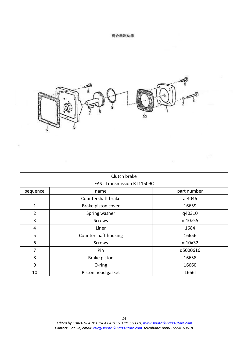### 离合器制动器

<span id="page-23-0"></span>

|                | Clutch brake                      |              |
|----------------|-----------------------------------|--------------|
|                | <b>FAST Transmission RT11509C</b> |              |
| sequence       | name                              | part number  |
|                | Countershaft brake                | a-4046       |
| $\mathbf{1}$   | Brake piston cover                | 16659        |
| $\overline{2}$ | Spring washer                     | q40310       |
| 3              | <b>Screws</b>                     | m10×55       |
| 4              | Liner                             | 1684         |
| 5              | Countershaft housing              | 16656        |
| 6              | <b>Screws</b>                     | m10×32       |
| 7              | Pin                               | q5000616     |
| 8              | <b>Brake piston</b>               | 16658        |
| 9              | O-ring                            | 16660        |
| 10             | Piston head gasket                | <b>1666l</b> |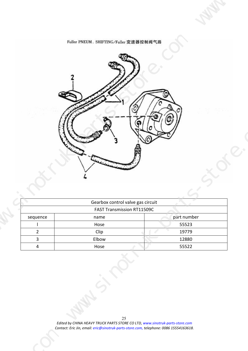

<span id="page-24-0"></span>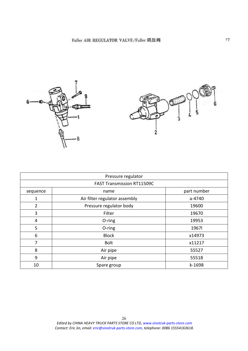<span id="page-25-0"></span>

|                | Pressure regulator                |             |
|----------------|-----------------------------------|-------------|
|                | <b>FAST Transmission RT11509C</b> |             |
| sequence       | name                              | part number |
| $\mathbf{1}$   | Air filter regulator assembly     | a-4740      |
| $\overline{2}$ | Pressure regulator body           | 19600       |
| 3              | Filter                            | 19670       |
| $\overline{4}$ | O-ring                            | 19953       |
| 5              | O-ring                            | 1967        |
| 6              | <b>Block</b>                      | x14973      |
| 7              | <b>Bolt</b>                       | x11217      |
| 8              | Air pipe                          | 55527       |
| 9              | Air pipe                          | 55518       |
| 10             | Spare group                       | k-1698      |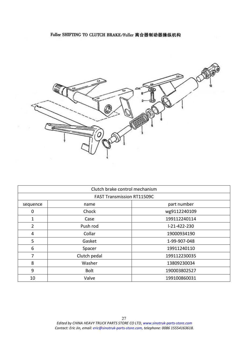<span id="page-26-0"></span>

|             | Clutch brake control mechanism    |                      |
|-------------|-----------------------------------|----------------------|
|             | <b>FAST Transmission RT11509C</b> |                      |
| sequence    | name                              | part number          |
| $\mathbf 0$ | Chock                             | wg9112240109         |
| 1           | Case                              | 199112240114         |
| 2           | Push rod                          | $1 - 21 - 422 - 230$ |
| 4           | Collar                            | 19000934190          |
| 5           | Gasket                            | 1-99-907-048         |
| 6           | Spacer                            | 19911240110          |
| 7           | Clutch pedal                      | 199112230035         |
| 8           | Washer                            | 13809230034          |
| 9           | <b>Bolt</b>                       | 190003802527         |
| 10          | Valve                             | 199100860031         |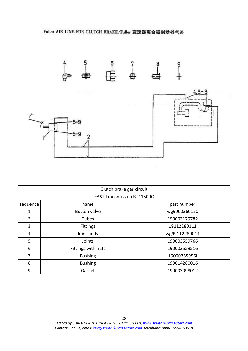<span id="page-27-0"></span>

|               | Clutch brake gas circuit          |               |
|---------------|-----------------------------------|---------------|
|               | <b>FAST Transmission RT11509C</b> |               |
| sequence      | name                              | part number   |
| 1             | <b>Button valve</b>               | wg9000360150  |
| $\mathcal{P}$ | Tubes                             | 190003179782  |
| 3             | <b>Fittings</b>                   | 19112280111   |
| 4             | Joint body                        | wg99112280014 |
| 5             | Joints                            | 190003559766  |
| 6             | Fittings with nuts                | 190003559516  |
| 7             | <b>Bushing</b>                    | 19000355956l  |
| 8             | <b>Bushing</b>                    | 199014280016  |
| 9             | Gasket                            | 190003098012  |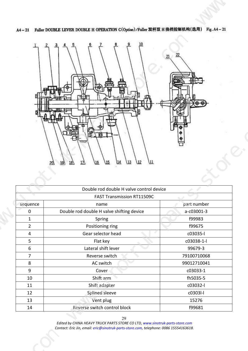<span id="page-28-0"></span>